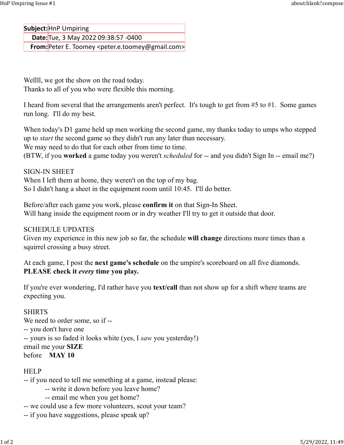Subject: HnP Umpiring Date: Tue, 3 May 2022 09:38:57 -0400 From:Peter E. Toomey <peter.e.toomey@gmail.com> HnP Umpiring Issue #1 about:blank?compose<br> **Subject:**HnP Umpiring<br> **Date:**Tue, 3 May 2022 09:38:57 -0400

Wellll, we got the show on the road today. Thanks to all of you who were flexible this morning.

I heard from several that the arrangements aren't perfect. It's tough to get from #5 to #1. Some games run long. I'll do my best.

When today's D1 game held up men working the second game, my thanks today to umps who stepped up to start the second game so they didn't run any later than necessary.

We may need to do that for each other from time to time.

(BTW, if you worked a game today you weren't scheduled for -- and you didn't Sign In -- email me?)

SIGN-IN SHEET When I left them at home, they weren't on the top of my bag. So I didn't hang a sheet in the equipment room until 10:45. I'll do better.

Before/after each game you work, please confirm it on that Sign-In Sheet. Will hang inside the equipment room or in dry weather I'll try to get it outside that door.

SCHEDULE UPDATES

Given my experience in this new job so far, the schedule will change directions more times than a squirrel crossing a busy street.

At each game, I post the **next game's schedule** on the umpire's scoreboard on all five diamonds. PLEASE check it *every* time you play.

If you're ever wondering, I'd rather have you **text/call** than not show up for a shift where teams are expecting you.

## SHIRTS

We need to order some, so if ---- you don't have one -- yours is so faded it looks white (yes, I saw you yesterday!) email me your SIZE before MAY 10

## HELP

-- if you need to tell me something at a game, instead please:

- -- write it down before you leave home?
- -- email me when you get home?
- -- we could use a few more volunteers, scout your team?
- -- if you have suggestions, please speak up?